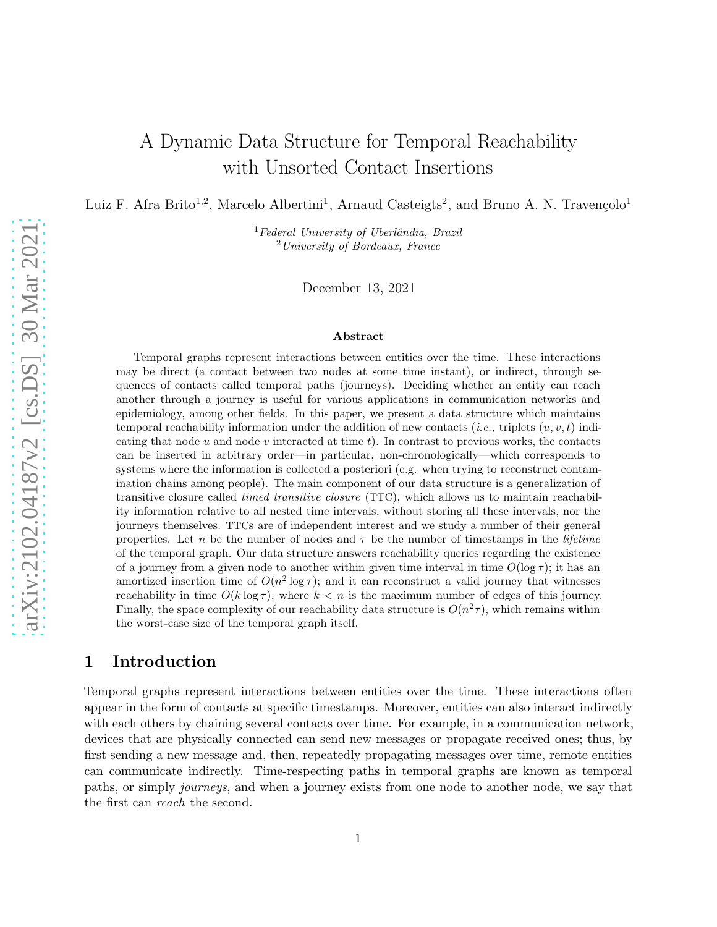# A Dynamic Data Structure for Temporal Reachability with Unsorted Contact Insertions

Luiz F. Afra Brito<sup>1,2</sup>, Marcelo Albertini<sup>1</sup>, Arnaud Casteigts<sup>2</sup>, and Bruno A. N. Travençolo<sup>1</sup>

 ${}^{1}$ Federal University of Uberlândia, Brazil <sup>2</sup>University of Bordeaux, France

December 13, 2021

#### Abstract

Temporal graphs represent interactions between entities over the time. These interactions may be direct (a contact between two nodes at some time instant), or indirect, through sequences of contacts called temporal paths (journeys). Deciding whether an entity can reach another through a journey is useful for various applications in communication networks and epidemiology, among other fields. In this paper, we present a data structure which maintains temporal reachability information under the addition of new contacts (*i.e.*, triplets  $(u, v, t)$  indicating that node u and node v interacted at time t). In contrast to previous works, the contacts can be inserted in arbitrary order—in particular, non-chronologically—which corresponds to systems where the information is collected a posteriori (e.g. when trying to reconstruct contamination chains among people). The main component of our data structure is a generalization of transitive closure called timed transitive closure (TTC), which allows us to maintain reachability information relative to all nested time intervals, without storing all these intervals, nor the journeys themselves. TTCs are of independent interest and we study a number of their general properties. Let n be the number of nodes and  $\tau$  be the number of timestamps in the *lifetime* of the temporal graph. Our data structure answers reachability queries regarding the existence of a journey from a given node to another within given time interval in time  $O(\log \tau)$ ; it has an amortized insertion time of  $O(n^2 \log \tau)$ ; and it can reconstruct a valid journey that witnesses reachability in time  $O(k \log \tau)$ , where  $k < n$  is the maximum number of edges of this journey. Finally, the space complexity of our reachability data structure is  $O(n^2\tau)$ , which remains within the worst-case size of the temporal graph itself.

## 1 Introduction

Temporal graphs represent interactions between entities over the time. These interactions often appear in the form of contacts at specific timestamps. Moreover, entities can also interact indirectly with each others by chaining several contacts over time. For example, in a communication network, devices that are physically connected can send new messages or propagate received ones; thus, by first sending a new message and, then, repeatedly propagating messages over time, remote entities can communicate indirectly. Time-respecting paths in temporal graphs are known as temporal paths, or simply journeys, and when a journey exists from one node to another node, we say that the first can reach the second.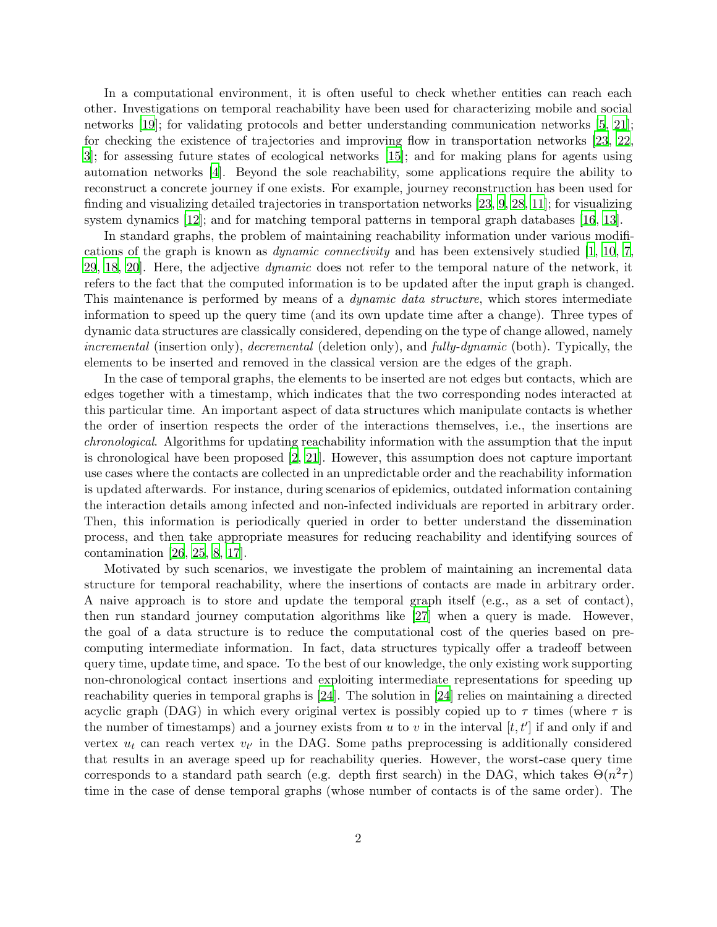In a computational environment, it is often useful to check whether entities can reach each other. Investigations on temporal reachability have been used for characterizing mobile and social networks [\[19](#page-14-0)]; for validating protocols and better understanding communication networks [\[5](#page-13-0), [21](#page-14-1)]; for checking the existence of trajectories and improving flow in transportation networks [\[23,](#page-14-2) [22](#page-14-3), [3](#page-13-1)]; for assessing future states of ecological networks [\[15](#page-14-4)]; and for making plans for agents using automation networks [\[4\]](#page-13-2). Beyond the sole reachability, some applications require the ability to reconstruct a concrete journey if one exists. For example, journey reconstruction has been used for finding and visualizing detailed trajectories in transportation networks [\[23,](#page-14-2) [9](#page-14-5), [28](#page-15-0), [11](#page-14-6)]; for visualizing system dynamics [\[12](#page-14-7)]; and for matching temporal patterns in temporal graph databases [\[16,](#page-14-8) [13](#page-14-9)].

In standard graphs, the problem of maintaining reachability information under various modifications of the graph is known as dynamic connectivity and has been extensively studied [\[1,](#page-13-3) [10,](#page-14-10) [7](#page-13-4), [29,](#page-15-1) [18,](#page-14-11) 20. Here, the adjective *dynamic* does not refer to the temporal nature of the network, it refers to the fact that the computed information is to be updated after the input graph is changed. This maintenance is performed by means of a *dynamic data structure*, which stores intermediate information to speed up the query time (and its own update time after a change). Three types of dynamic data structures are classically considered, depending on the type of change allowed, namely incremental (insertion only), decremental (deletion only), and fully-dynamic (both). Typically, the elements to be inserted and removed in the classical version are the edges of the graph.

In the case of temporal graphs, the elements to be inserted are not edges but contacts, which are edges together with a timestamp, which indicates that the two corresponding nodes interacted at this particular time. An important aspect of data structures which manipulate contacts is whether the order of insertion respects the order of the interactions themselves, i.e., the insertions are chronological. Algorithms for updating reachability information with the assumption that the input is chronological have been proposed [\[2,](#page-13-5) [21](#page-14-1)]. However, this assumption does not capture important use cases where the contacts are collected in an unpredictable order and the reachability information is updated afterwards. For instance, during scenarios of epidemics, outdated information containing the interaction details among infected and non-infected individuals are reported in arbitrary order. Then, this information is periodically queried in order to better understand the dissemination process, and then take appropriate measures for reducing reachability and identifying sources of contamination [\[26,](#page-15-2) [25](#page-15-3), [8](#page-13-6), [17](#page-14-13)].

Motivated by such scenarios, we investigate the problem of maintaining an incremental data structure for temporal reachability, where the insertions of contacts are made in arbitrary order. A naive approach is to store and update the temporal graph itself (e.g., as a set of contact), then run standard journey computation algorithms like [\[27](#page-15-4)] when a query is made. However, the goal of a data structure is to reduce the computational cost of the queries based on precomputing intermediate information. In fact, data structures typically offer a tradeoff between query time, update time, and space. To the best of our knowledge, the only existing work supporting non-chronological contact insertions and exploiting intermediate representations for speeding up reachability queries in temporal graphs is [\[24\]](#page-15-5). The solution in [\[24](#page-15-5)] relies on maintaining a directed acyclic graph (DAG) in which every original vertex is possibly copied up to  $\tau$  times (where  $\tau$  is the number of timestamps) and a journey exists from u to v in the interval  $[t, t']$  if and only if and vertex  $u_t$  can reach vertex  $v_{t'}$  in the DAG. Some paths preprocessing is additionally considered that results in an average speed up for reachability queries. However, the worst-case query time corresponds to a standard path search (e.g. depth first search) in the DAG, which takes  $\Theta(n^2\tau)$ time in the case of dense temporal graphs (whose number of contacts is of the same order). The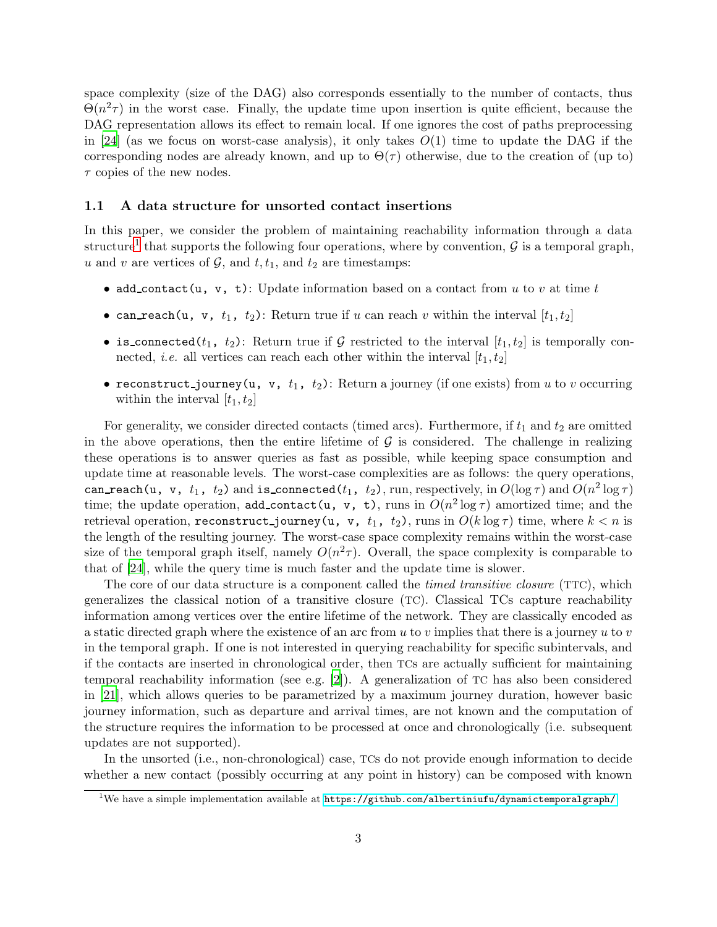space complexity (size of the DAG) also corresponds essentially to the number of contacts, thus  $\Theta(n^2\tau)$  in the worst case. Finally, the update time upon insertion is quite efficient, because the DAG representation allows its effect to remain local. If one ignores the cost of paths preprocessing in [\[24\]](#page-15-5) (as we focus on worst-case analysis), it only takes  $O(1)$  time to update the DAG if the corresponding nodes are already known, and up to  $\Theta(\tau)$  otherwise, due to the creation of (up to)  $\tau$  copies of the new nodes.

#### <span id="page-2-1"></span>1.1 A data structure for unsorted contact insertions

In this paper, we consider the problem of maintaining reachability information through a data structure<sup>[1](#page-2-0)</sup> that supports the following four operations, where by convention,  $\mathcal G$  is a temporal graph, u and v are vertices of  $\mathcal{G}$ , and  $t, t_1$ , and  $t_2$  are timestamps:

- add\_contact(u, v, t): Update information based on a contact from u to v at time t
- can reach (u, v,  $t_1$ ,  $t_2$ ): Return true if u can reach v within the interval  $[t_1, t_2]$
- is connected( $t_1$ ,  $t_2$ ): Return true if G restricted to the interval  $[t_1, t_2]$  is temporally connected, *i.e.* all vertices can reach each other within the interval  $[t_1, t_2]$
- reconstruct journey(u, v,  $t_1$ ,  $t_2$ ): Return a journey (if one exists) from u to v occurring within the interval  $[t_1, t_2]$

For generality, we consider directed contacts (timed arcs). Furthermore, if  $t_1$  and  $t_2$  are omitted in the above operations, then the entire lifetime of  $\mathcal G$  is considered. The challenge in realizing these operations is to answer queries as fast as possible, while keeping space consumption and update time at reasonable levels. The worst-case complexities are as follows: the query operations, can reach(u, v,  $t_1$ ,  $t_2$ ) and is connected( $t_1$ ,  $t_2$ ), run, respectively, in  $O(\log \tau)$  and  $O(n^2\log \tau)$ time; the update operation, add\_contact(u, v, t), runs in  $O(n^2 \log \tau)$  amortized time; and the retrieval operation, reconstruct journey(u, v,  $t_1$ ,  $t_2$ ), runs in  $O(k \log \tau)$  time, where  $k < n$  is the length of the resulting journey. The worst-case space complexity remains within the worst-case size of the temporal graph itself, namely  $O(n^2\tau)$ . Overall, the space complexity is comparable to that of [\[24](#page-15-5)], while the query time is much faster and the update time is slower.

The core of our data structure is a component called the *timed transitive closure* (TTC), which generalizes the classical notion of a transitive closure (TC). Classical TCs capture reachability information among vertices over the entire lifetime of the network. They are classically encoded as a static directed graph where the existence of an arc from u to v implies that there is a journey u to v in the temporal graph. If one is not interested in querying reachability for specific subintervals, and if the contacts are inserted in chronological order, then TCs are actually sufficient for maintaining temporal reachability information (see e.g. [\[2](#page-13-5)]). A generalization of TC has also been considered in [\[21](#page-14-1)], which allows queries to be parametrized by a maximum journey duration, however basic journey information, such as departure and arrival times, are not known and the computation of the structure requires the information to be processed at once and chronologically (i.e. subsequent updates are not supported).

In the unsorted (i.e., non-chronological) case, TCs do not provide enough information to decide whether a new contact (possibly occurring at any point in history) can be composed with known

<span id="page-2-0"></span><sup>&</sup>lt;sup>1</sup>We have a simple implementation available at  $https://github.com/albertiniufu/dynamictemporalgraph/$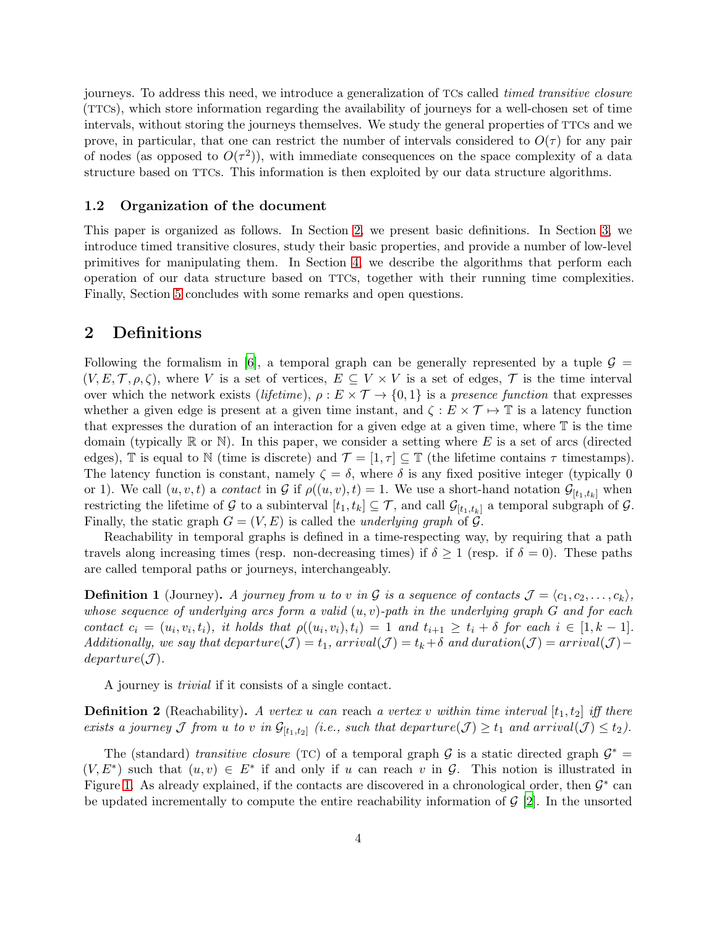journeys. To address this need, we introduce a generalization of TCs called *timed transitive closure* (TTCs), which store information regarding the availability of journeys for a well-chosen set of time intervals, without storing the journeys themselves. We study the general properties of TTCs and we prove, in particular, that one can restrict the number of intervals considered to  $O(\tau)$  for any pair of nodes (as opposed to  $O(\tau^2)$ ), with immediate consequences on the space complexity of a data structure based on TTCs. This information is then exploited by our data structure algorithms.

#### 1.2 Organization of the document

This paper is organized as follows. In Section [2,](#page-3-0) we present basic definitions. In Section [3,](#page-4-0) we introduce timed transitive closures, study their basic properties, and provide a number of low-level primitives for manipulating them. In Section [4,](#page-9-0) we describe the algorithms that perform each operation of our data structure based on TTCs, together with their running time complexities. Finally, Section [5](#page-12-0) concludes with some remarks and open questions.

### <span id="page-3-0"></span>2 Definitions

Following the formalism in [\[6\]](#page-13-7), a temporal graph can be generally represented by a tuple  $\mathcal{G} =$  $(V, E, \mathcal{T}, \rho, \zeta)$ , where V is a set of vertices,  $E \subseteq V \times V$  is a set of edges,  $\mathcal{T}$  is the time interval over which the network exists (lifetime),  $\rho : E \times T \to \{0,1\}$  is a presence function that expresses whether a given edge is present at a given time instant, and  $\zeta : E \times \mathcal{T} \mapsto \mathbb{T}$  is a latency function that expresses the duration of an interaction for a given edge at a given time, where  $\mathbb T$  is the time domain (typically  $\mathbb R$  or  $\mathbb N$ ). In this paper, we consider a setting where E is a set of arcs (directed edges), T is equal to N (time is discrete) and  $\mathcal{T} = [1, \tau] \subseteq \mathbb{T}$  (the lifetime contains  $\tau$  timestamps). The latency function is constant, namely  $\zeta = \delta$ , where  $\delta$  is any fixed positive integer (typically 0) or 1). We call  $(u, v, t)$  a *contact* in G if  $\rho((u, v), t) = 1$ . We use a short-hand notation  $\mathcal{G}_{[t_1,t_k]}$  when restricting the lifetime of G to a subinterval  $[t_1, t_k] \subseteq \mathcal{T}$ , and call  $\mathcal{G}_{[t_1, t_k]}$  a temporal subgraph of G. Finally, the static graph  $G = (V, E)$  is called the *underlying graph* of  $G$ .

Reachability in temporal graphs is defined in a time-respecting way, by requiring that a path travels along increasing times (resp. non-decreasing times) if  $\delta \geq 1$  (resp. if  $\delta = 0$ ). These paths are called temporal paths or journeys, interchangeably.

**Definition 1** (Journey). A journey from u to v in G is a sequence of contacts  $\mathcal{J} = \langle c_1, c_2, \ldots, c_k \rangle$ , whose sequence of underlying arcs form a valid  $(u, v)$ -path in the underlying graph  $G$  and for each contact  $c_i = (u_i, v_i, t_i)$ , it holds that  $\rho((u_i, v_i), t_i) = 1$  and  $t_{i+1} \geq t_i + \delta$  for each  $i \in [1, k-1]$ . Additionally, we say that departure $(\mathcal{J}) = t_1$ , arrival $(\mathcal{J}) = t_k + \delta$  and duration $(\mathcal{J}) = arrival(\mathcal{J})$  $departure(\mathcal{J}).$ 

A journey is trivial if it consists of a single contact.

**Definition 2** (Reachability). A vertex u can reach a vertex v within time interval  $[t_1, t_2]$  iff there exists a journey  $\mathcal J$  from u to v in  $\mathcal G_{[t_1,t_2]}$  (i.e., such that departure( $\mathcal J \geq t_1$  and arrival( $\mathcal J \leq t_2$ ).

The (standard) transitive closure (TC) of a temporal graph  $\mathcal G$  is a static directed graph  $\mathcal G^*$  =  $(V, E^*)$  such that  $(u, v) \in E^*$  if and only if u can reach v in G. This notion is illustrated in Figure [1.](#page-4-1) As already explained, if the contacts are discovered in a chronological order, then  $\mathcal{G}^*$  can be updated incrementally to compute the entire reachability information of  $\mathcal{G}$  [\[2](#page-13-5)]. In the unsorted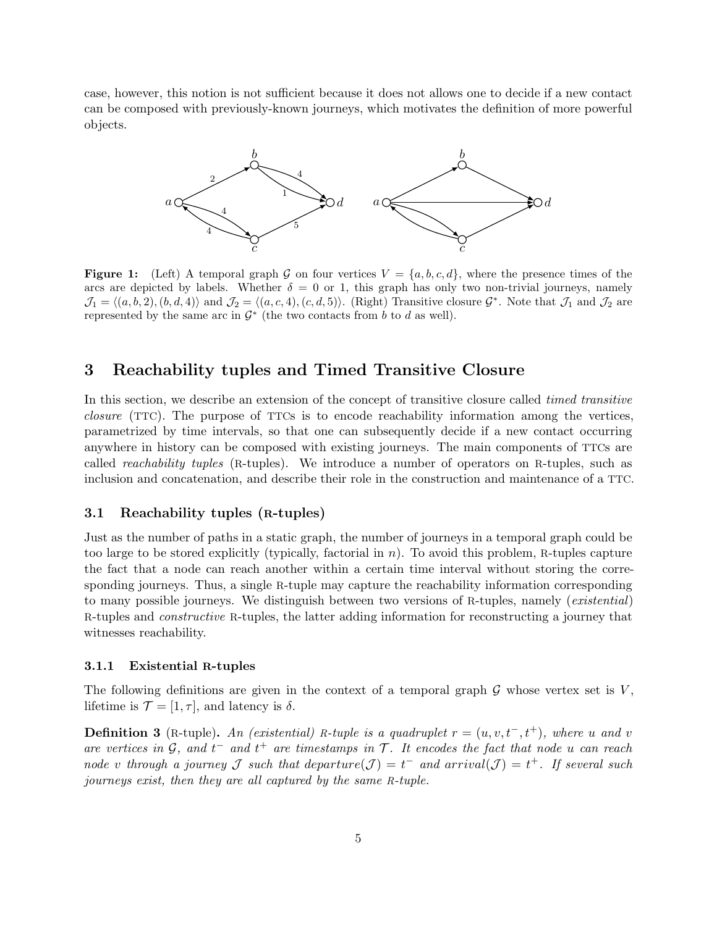<span id="page-4-1"></span>case, however, this notion is not sufficient because it does not allows one to decide if a new contact can be composed with previously-known journeys, which motivates the definition of more powerful objects.



**Figure 1:** (Left) A temporal graph G on four vertices  $V = \{a, b, c, d\}$ , where the presence times of the arcs are depicted by labels. Whether  $\delta = 0$  or 1, this graph has only two non-trivial journeys, namely  $\mathcal{J}_1 = \langle (a, b, 2), (b, d, 4) \rangle$  and  $\mathcal{J}_2 = \langle (a, c, 4), (c, d, 5) \rangle$ . (Right) Transitive closure  $\mathcal{G}^*$ . Note that  $\mathcal{J}_1$  and  $\mathcal{J}_2$  are represented by the same arc in  $\mathcal{G}^*$  (the two contacts from b to d as well).

### <span id="page-4-0"></span>3 Reachability tuples and Timed Transitive Closure

In this section, we describe an extension of the concept of transitive closure called *timed transitive* closure (TTC). The purpose of TTCs is to encode reachability information among the vertices, parametrized by time intervals, so that one can subsequently decide if a new contact occurring anywhere in history can be composed with existing journeys. The main components of TTCs are called reachability tuples (R-tuples). We introduce a number of operators on R-tuples, such as inclusion and concatenation, and describe their role in the construction and maintenance of a TTC.

#### <span id="page-4-2"></span>3.1 Reachability tuples (R-tuples)

Just as the number of paths in a static graph, the number of journeys in a temporal graph could be too large to be stored explicitly (typically, factorial in  $n$ ). To avoid this problem, R-tuples capture the fact that a node can reach another within a certain time interval without storing the corresponding journeys. Thus, a single R-tuple may capture the reachability information corresponding to many possible journeys. We distinguish between two versions of R-tuples, namely (existential) R-tuples and constructive R-tuples, the latter adding information for reconstructing a journey that witnesses reachability.

#### 3.1.1 Existential R-tuples

The following definitions are given in the context of a temporal graph  $\mathcal G$  whose vertex set is  $V$ . lifetime is  $\mathcal{T} = [1, \tau]$ , and latency is  $\delta$ .

**Definition 3** (R-tuple). An (existential) R-tuple is a quadruplet  $r = (u, v, t^-, t^+)$ , where u and v are vertices in  $G$ , and  $t^-$  and  $t^+$  are timestamps in  $\mathcal T$ . It encodes the fact that node u can reach node v through a journey J such that departure $(\mathcal{J}) = t^-$  and arrival $(\mathcal{J}) = t^+$ . If several such journeys exist, then they are all captured by the same R-tuple.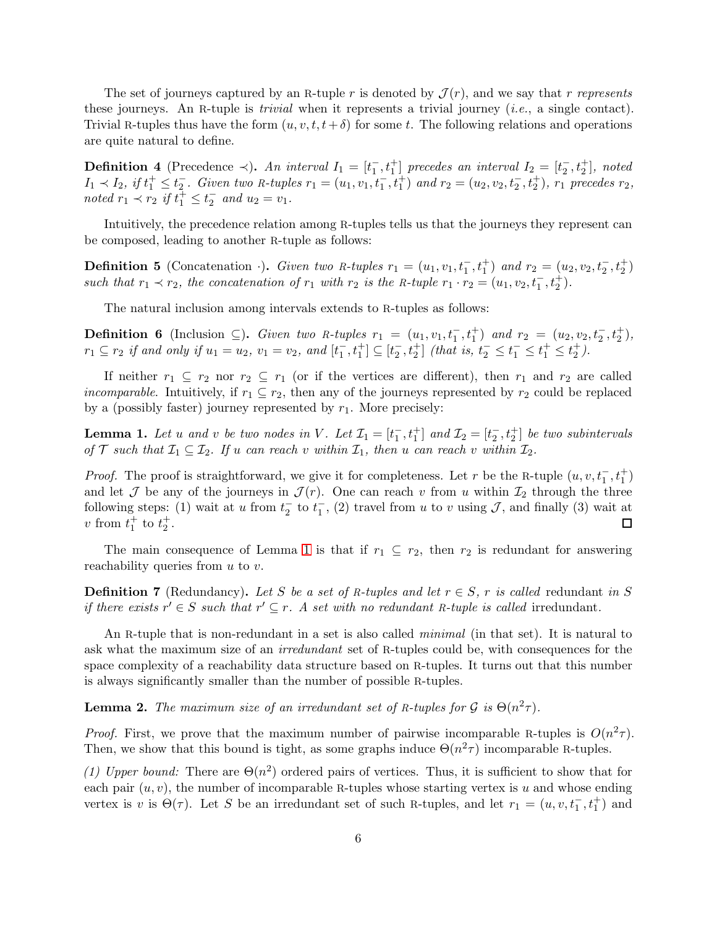The set of journeys captured by an R-tuple r is denoted by  $\mathcal{J}(r)$ , and we say that r represents these journeys. An R-tuple is *trivial* when it represents a trivial journey (*i.e.*, a single contact). Trivial R-tuples thus have the form  $(u, v, t, t + \delta)$  for some t. The following relations and operations are quite natural to define.

**Definition 4** (Precedence  $\prec$ ). An interval  $I_1 = [t_1^-]$  $\begin{bmatrix} 1, t_1^+ \end{bmatrix}$  precedes an interval  $I_2 = \begin{bmatrix} t_2^- \end{bmatrix}$  $\frac{1}{2}$ ,  $t_2^+$ ], noted  $I_1 \prec I_2$ , if  $t_1^+ \leq t_2^ \frac{1}{2}$ . Given two R-tuples  $r_1 = (u_1, v_1, t_1^-, t_1^+)$  and  $r_2 = (u_2, v_2, t_2^-, t_2^+)$ ,  $r_1$  precedes  $r_2$ , noted  $r_1 \prec r_2$  if  $t_1^{\perp} \leq t_2^{\perp}$  and  $u_2 = v_1$ .

Intuitively, the precedence relation among R-tuples tells us that the journeys they represent can be composed, leading to another R-tuple as follows:

**Definition 5** (Concatenation ·). Given two R-tuples  $r_1 = (u_1, v_1, t_1^-, t_1^+)$  and  $r_2 = (u_2, v_2, t_2^-, t_2^+)$ such that  $r_1 \prec r_2$ , the concatenation of  $r_1$  with  $r_2$  is the R-tuple  $r_1 \cdot r_2 = (u_1, v_2, t_1^-, t_2^+)$ .

The natural inclusion among intervals extends to R-tuples as follows:

**Definition 6** (Inclusion ⊆). Given two R-tuples  $r_1 = (u_1, v_1, t_1^-, t_1^+)$  and  $r_2 = (u_2, v_2, t_2^-, t_2^+)$ ,  $r_1 \subseteq r_2$  if and only if  $u_1 = u_2$ ,  $v_1 = v_2$ , and  $[t_1]$  $\frac{1}{1}, t_1^+$ ]  $\subseteq$   $[t_2^-]$  $\frac{1}{2}$ ,  $t_2^+$  (that is,  $t_2^- \leq t_1^- \leq t_1^+ \leq t_2^+$ ).

If neither  $r_1 \subseteq r_2$  nor  $r_2 \subseteq r_1$  (or if the vertices are different), then  $r_1$  and  $r_2$  are called *incomparable.* Intuitively, if  $r_1 \subseteq r_2$ , then any of the journeys represented by  $r_2$  could be replaced by a (possibly faster) journey represented by  $r_1$ . More precisely:

<span id="page-5-0"></span>**Lemma 1.** Let u and v be two nodes in V. Let  $\mathcal{I}_1 = [t_1]$  $\begin{bmatrix} 1, t_1^+ \end{bmatrix}$  and  $\mathcal{I}_2 = [t_2^-]$  $\left[\frac{1}{2}, t^+_{2}\right]$  be two subintervals of T such that  $\mathcal{I}_1 \subseteq \mathcal{I}_2$ . If u can reach v within  $\mathcal{I}_1$ , then u can reach v within  $\mathcal{I}_2$ .

*Proof.* The proof is straightforward, we give it for completeness. Let r be the R-tuple  $(u, v, t_1^-, t_1^+)$ and let  $\mathcal J$  be any of the journeys in  $\mathcal J(r)$ . One can reach v from u within  $\mathcal I_2$  through the three following steps: (1) wait at u from  $t_2^ \frac{1}{2}$  to  $t_1^ _1^-$ , (2) travel from u to v using J, and finally (3) wait at v from  $t_1^+$  to  $t_2^+$ .  $\Box$ 

The main consequence of Lemma [1](#page-5-0) is that if  $r_1 \nsubseteq r_2$ , then  $r_2$  is redundant for answering reachability queries from  $u$  to  $v$ .

**Definition 7** (Redundancy). Let S be a set of R-tuples and let  $r \in S$ , r is called redundant in S if there exists  $r' \in S$  such that  $r' \subseteq r$ . A set with no redundant R-tuple is called irredundant.

An R-tuple that is non-redundant in a set is also called *minimal* (in that set). It is natural to ask what the maximum size of an irredundant set of R-tuples could be, with consequences for the space complexity of a reachability data structure based on R-tuples. It turns out that this number is always significantly smaller than the number of possible R-tuples.

<span id="page-5-1"></span>**Lemma 2.** The maximum size of an irredundant set of R-tuples for  $\mathcal{G}$  is  $\Theta(n^2\tau)$ .

*Proof.* First, we prove that the maximum number of pairwise incomparable R-tuples is  $O(n^2\tau)$ . Then, we show that this bound is tight, as some graphs induce  $\Theta(n^2\tau)$  incomparable R-tuples.

(1) Upper bound: There are  $\Theta(n^2)$  ordered pairs of vertices. Thus, it is sufficient to show that for each pair  $(u, v)$ , the number of incomparable R-tuples whose starting vertex is u and whose ending vertex is v is  $\Theta(\tau)$ . Let S be an irredundant set of such R-tuples, and let  $r_1 = (u, v, t_1^-, t_1^+)$  and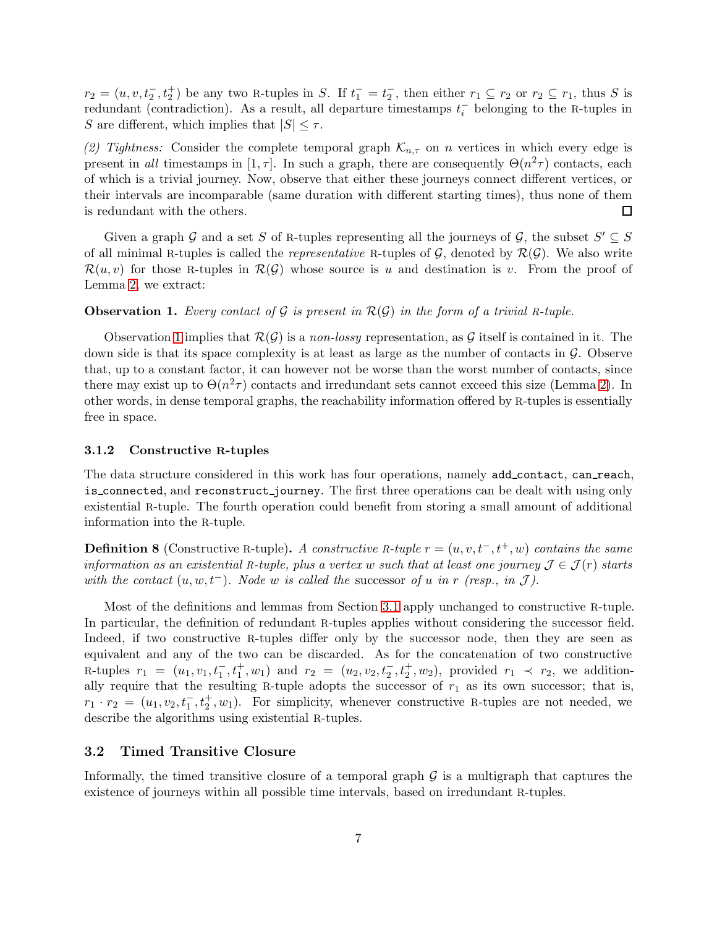$r_2 = (u, v, t_2^-, t_2^+)$  be any two R-tuples in S. If  $t_1^- = t_2^ _2^-,$  then either  $r_1 \subseteq r_2$  or  $r_2 \subseteq r_1$ , thus S is redundant (contradiction). As a result, all departure timestamps  $t_i^ \overline{i}$  belonging to the R-tuples in S are different, which implies that  $|S| \leq \tau$ .

(2) Tightness: Consider the complete temporal graph  $\mathcal{K}_{n,\tau}$  on n vertices in which every edge is present in all timestamps in [1,  $\tau$ ]. In such a graph, there are consequently  $\Theta(n^2\tau)$  contacts, each of which is a trivial journey. Now, observe that either these journeys connect different vertices, or their intervals are incomparable (same duration with different starting times), thus none of them is redundant with the others. □

Given a graph G and a set S of R-tuples representing all the journeys of G, the subset  $S' \subseteq S$ of all minimal R-tuples is called the *representative* R-tuples of  $\mathcal{G}$ , denoted by  $\mathcal{R}(\mathcal{G})$ . We also write  $\mathcal{R}(u, v)$  for those R-tuples in  $\mathcal{R}(\mathcal{G})$  whose source is u and destination is v. From the proof of Lemma [2,](#page-5-1) we extract:

#### <span id="page-6-0"></span>**Observation 1.** Every contact of G is present in  $\mathcal{R}(\mathcal{G})$  in the form of a trivial R-tuple.

Observation [1](#page-6-0) implies that  $\mathcal{R}(\mathcal{G})$  is a non-lossy representation, as  $\mathcal{G}$  itself is contained in it. The down side is that its space complexity is at least as large as the number of contacts in  $\mathcal G$ . Observe that, up to a constant factor, it can however not be worse than the worst number of contacts, since there may exist up to  $\Theta(n^2\tau)$  contacts and irredundant sets cannot exceed this size (Lemma [2\)](#page-5-1). In other words, in dense temporal graphs, the reachability information offered by R-tuples is essentially free in space.

#### <span id="page-6-1"></span>3.1.2 Constructive R-tuples

The data structure considered in this work has four operations, namely add\_contact, can\_reach, is connected, and reconstruct journey. The first three operations can be dealt with using only existential R-tuple. The fourth operation could benefit from storing a small amount of additional information into the R-tuple.

**Definition 8** (Constructive R-tuple). A constructive R-tuple  $r = (u, v, t^-, t^+, w)$  contains the same information as an existential R-tuple, plus a vertex w such that at least one journey  $\mathcal{J} \in \mathcal{J}(r)$  starts with the contact  $(u, w, t^-)$ . Node w is called the successor of u in r (resp., in J).

Most of the definitions and lemmas from Section [3.1](#page-4-2) apply unchanged to constructive R-tuple. In particular, the definition of redundant R-tuples applies without considering the successor field. Indeed, if two constructive R-tuples differ only by the successor node, then they are seen as equivalent and any of the two can be discarded. As for the concatenation of two constructive R-tuples  $r_1 = (u_1, v_1, t_1^-, t_1^+, w_1)$  and  $r_2 = (u_2, v_2, t_2^-, t_2^+, w_2)$ , provided  $r_1 \prec r_2$ , we additionally require that the resulting R-tuple adopts the successor of  $r_1$  as its own successor; that is,  $r_1 \cdot r_2 = (u_1, v_2, t_1^-, t_2^+, w_1)$ . For simplicity, whenever constructive R-tuples are not needed, we describe the algorithms using existential R-tuples.

#### 3.2 Timed Transitive Closure

Informally, the timed transitive closure of a temporal graph  $\mathcal G$  is a multigraph that captures the existence of journeys within all possible time intervals, based on irredundant R-tuples.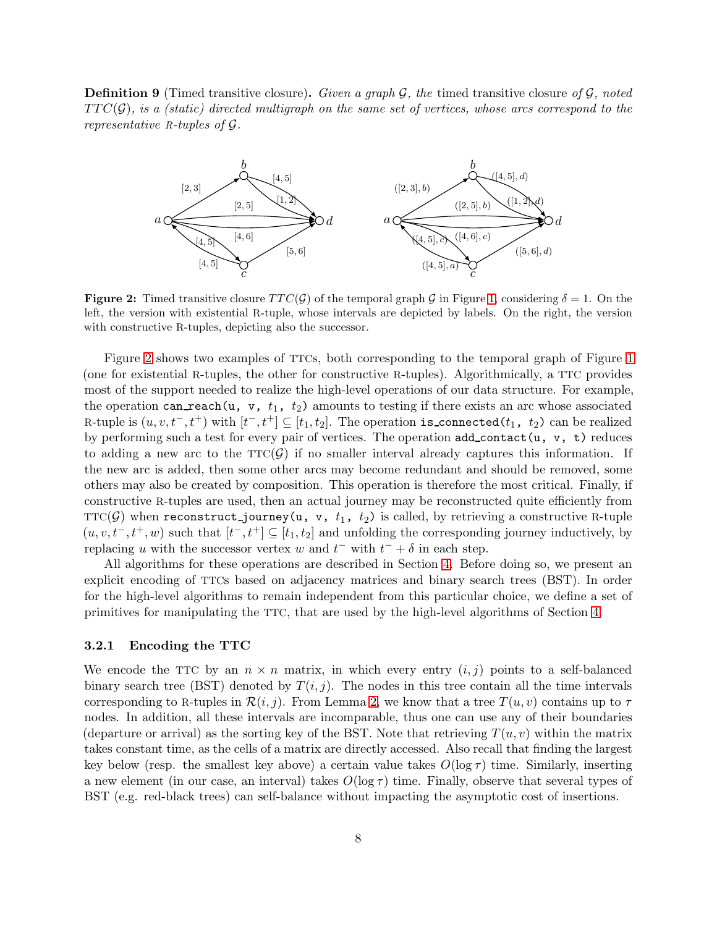<span id="page-7-0"></span>**Definition 9** (Timed transitive closure). Given a graph  $\mathcal{G}$ , the timed transitive closure of  $\mathcal{G}$ , noted  $TTC(\mathcal{G})$ , is a (static) directed multigraph on the same set of vertices, whose arcs correspond to the representative R-tuples of G.



**Figure 2:** Timed transitive closure  $TTC(\mathcal{G})$  of the temporal graph  $\mathcal{G}$  in Figure [1,](#page-4-1) considering  $\delta = 1$ . On the left, the version with existential R-tuple, whose intervals are depicted by labels. On the right, the version with constructive R-tuples, depicting also the successor.

Figure [2](#page-7-0) shows two examples of TTCs, both corresponding to the temporal graph of Figure [1](#page-4-1) (one for existential R-tuples, the other for constructive R-tuples). Algorithmically, a TTC provides most of the support needed to realize the high-level operations of our data structure. For example, the operation can reach  $(u, v, t_1, t_2)$  amounts to testing if there exists an arc whose associated R-tuple is  $(u, v, t^-, t^+)$  with  $[t^-, t^+] \subseteq [t_1, t_2]$ . The operation is\_connected( $t_1, t_2$ ) can be realized by performing such a test for every pair of vertices. The operation  $add\_contact(u, v, t)$  reduces to adding a new arc to the  $TTC(\mathcal{G})$  if no smaller interval already captures this information. If the new arc is added, then some other arcs may become redundant and should be removed, some others may also be created by composition. This operation is therefore the most critical. Finally, if constructive R-tuples are used, then an actual journey may be reconstructed quite efficiently from TTC(G) when reconstruct-journey(u, v,  $t_1$ ,  $t_2$ ) is called, by retrieving a constructive R-tuple  $(u, v, t-, t+, w)$  such that  $[t-, t^+] \subseteq [t_1, t_2]$  and unfolding the corresponding journey inductively, by replacing u with the successor vertex w and  $t^-$  with  $t^- + \delta$  in each step.

All algorithms for these operations are described in Section [4.](#page-9-0) Before doing so, we present an explicit encoding of TTCs based on adjacency matrices and binary search trees (BST). In order for the high-level algorithms to remain independent from this particular choice, we define a set of primitives for manipulating the TTC, that are used by the high-level algorithms of Section [4.](#page-9-0)

#### <span id="page-7-1"></span>3.2.1 Encoding the TTC

We encode the TTC by an  $n \times n$  matrix, in which every entry  $(i, j)$  points to a self-balanced binary search tree (BST) denoted by  $T(i, j)$ . The nodes in this tree contain all the time intervals corresponding to R-tuples in  $\mathcal{R}(i, j)$ . From Lemma [2,](#page-5-1) we know that a tree  $T(u, v)$  contains up to  $\tau$ nodes. In addition, all these intervals are incomparable, thus one can use any of their boundaries (departure or arrival) as the sorting key of the BST. Note that retrieving  $T(u, v)$  within the matrix takes constant time, as the cells of a matrix are directly accessed. Also recall that finding the largest key below (resp. the smallest key above) a certain value takes  $O(\log \tau)$  time. Similarly, inserting a new element (in our case, an interval) takes  $O(\log \tau)$  time. Finally, observe that several types of BST (e.g. red-black trees) can self-balance without impacting the asymptotic cost of insertions.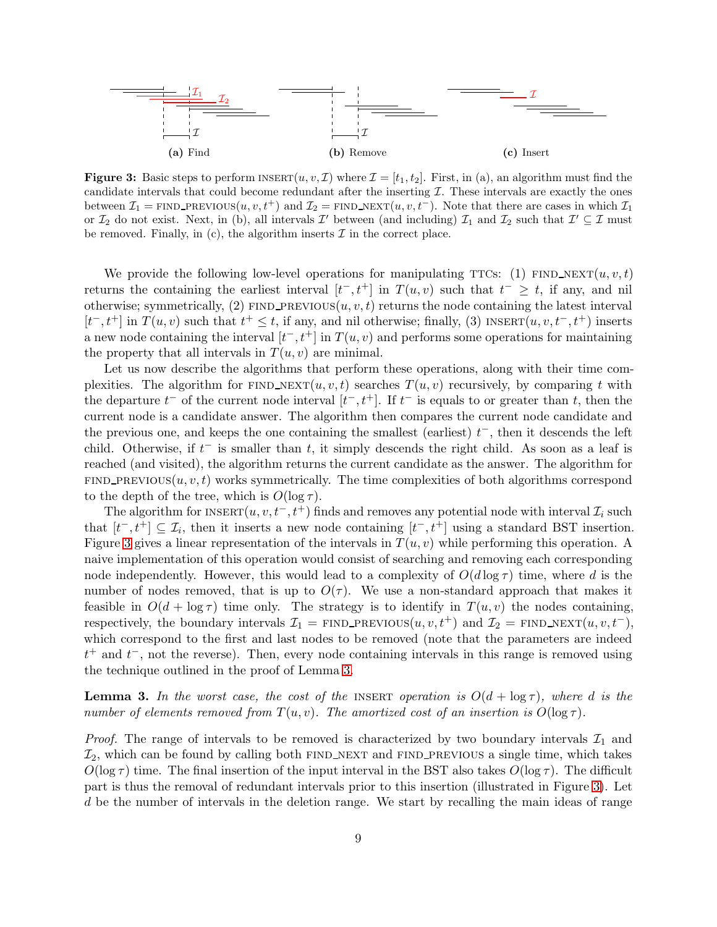<span id="page-8-0"></span>

**Figure 3:** Basic steps to perform  $\text{INSERT}(u, v, \mathcal{I})$  where  $\mathcal{I} = [t_1, t_2]$ . First, in (a), an algorithm must find the candidate intervals that could become redundant after the inserting  $\mathcal I$ . These intervals are exactly the ones between  $\mathcal{I}_1$  = FIND PREVIOUS $(u, v, t^+)$  and  $\mathcal{I}_2$  = FIND NEXT $(u, v, t^-)$ . Note that there are cases in which  $\mathcal{I}_1$ or  $\mathcal{I}_2$  do not exist. Next, in (b), all intervals  $\mathcal{I}'$  between (and including)  $\mathcal{I}_1$  and  $\mathcal{I}_2$  such that  $\mathcal{I}' \subseteq \mathcal{I}$  must be removed. Finally, in (c), the algorithm inserts  $\mathcal I$  in the correct place.

We provide the following low-level operations for manipulating TTCs: (1) FIND\_NEXT $(u, v, t)$ returns the containing the earliest interval  $[t^-, t^+]$  in  $T(u, v)$  such that  $t^- \geq t$ , if any, and nil otherwise; symmetrically, (2) FIND PREVIOUS $(u, v, t)$  returns the node containing the latest interval  $[t^-, t^+]$  in  $T(u, v)$  such that  $t^+ \leq t$ , if any, and nil otherwise; finally, (3) INSERT $(u, v, t^-, t^+)$  inserts a new node containing the interval  $[t^-, t^+]$  in  $T(u, v)$  and performs some operations for maintaining the property that all intervals in  $T(u, v)$  are minimal.

Let us now describe the algorithms that perform these operations, along with their time complexities. The algorithm for FIND\_NEXT $(u, v, t)$  searches  $T(u, v)$  recursively, by comparing t with the departure  $t^-$  of the current node interval  $[t^-, t^+]$ . If  $t^-$  is equals to or greater than t, then the current node is a candidate answer. The algorithm then compares the current node candidate and the previous one, and keeps the one containing the smallest (earliest)  $t^-$ , then it descends the left child. Otherwise, if  $t^-$  is smaller than t, it simply descends the right child. As soon as a leaf is reached (and visited), the algorithm returns the current candidate as the answer. The algorithm for  $FIND\_PREVIOUS(u, v, t)$  works symmetrically. The time complexities of both algorithms correspond to the depth of the tree, which is  $O(\log \tau)$ .

The algorithm for  $\text{INSERT}(u, v, t^-, t^+)$  finds and removes any potential node with interval  $\mathcal{I}_i$  such that  $[t^-, t^+] \subseteq \mathcal{I}_i$ , then it inserts a new node containing  $[t^-, t^+]$  using a standard BST insertion. Figure [3](#page-8-0) gives a linear representation of the intervals in  $T(u, v)$  while performing this operation. A naive implementation of this operation would consist of searching and removing each corresponding node independently. However, this would lead to a complexity of  $O(d \log \tau)$  time, where d is the number of nodes removed, that is up to  $O(\tau)$ . We use a non-standard approach that makes it feasible in  $O(d + \log \tau)$  time only. The strategy is to identify in  $T(u, v)$  the nodes containing, respectively, the boundary intervals  $\mathcal{I}_1$  = FIND PREVIOUS $(u, v, t^+)$  and  $\mathcal{I}_2$  = FIND NEXT $(u, v, t^-)$ , which correspond to the first and last nodes to be removed (note that the parameters are indeed  $t^+$  and  $t^-$ , not the reverse). Then, every node containing intervals in this range is removed using the technique outlined in the proof of Lemma [3.](#page-8-1)

<span id="page-8-1"></span>**Lemma 3.** In the worst case, the cost of the INSERT operation is  $O(d + \log \tau)$ , where d is the number of elements removed from  $T(u, v)$ . The amortized cost of an insertion is  $O(\log \tau)$ .

*Proof.* The range of intervals to be removed is characterized by two boundary intervals  $\mathcal{I}_1$  and  $\mathcal{I}_2$ , which can be found by calling both FIND NEXT and FIND PREVIOUS a single time, which takes  $O(\log \tau)$  time. The final insertion of the input interval in the BST also takes  $O(\log \tau)$ . The difficult part is thus the removal of redundant intervals prior to this insertion (illustrated in Figure [3\)](#page-8-0). Let d be the number of intervals in the deletion range. We start by recalling the main ideas of range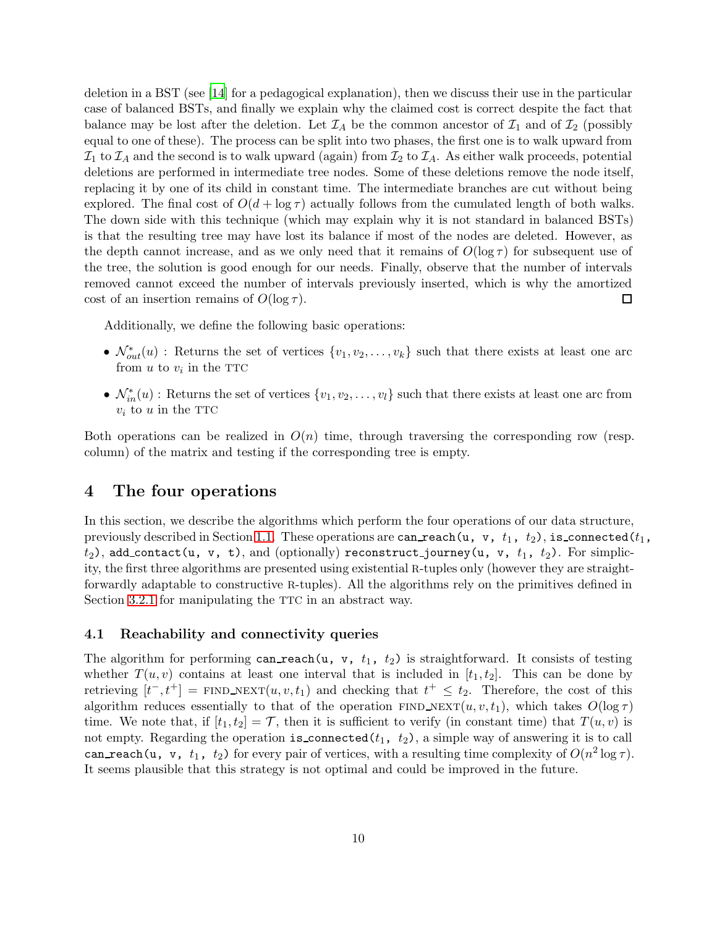deletion in a BST (see [\[14\]](#page-14-14) for a pedagogical explanation), then we discuss their use in the particular case of balanced BSTs, and finally we explain why the claimed cost is correct despite the fact that balance may be lost after the deletion. Let  $\mathcal{I}_A$  be the common ancestor of  $\mathcal{I}_1$  and of  $\mathcal{I}_2$  (possibly equal to one of these). The process can be split into two phases, the first one is to walk upward from  $I_1$  to  $I_A$  and the second is to walk upward (again) from  $I_2$  to  $I_A$ . As either walk proceeds, potential deletions are performed in intermediate tree nodes. Some of these deletions remove the node itself, replacing it by one of its child in constant time. The intermediate branches are cut without being explored. The final cost of  $O(d + \log \tau)$  actually follows from the cumulated length of both walks. The down side with this technique (which may explain why it is not standard in balanced BSTs) is that the resulting tree may have lost its balance if most of the nodes are deleted. However, as the depth cannot increase, and as we only need that it remains of  $O(\log \tau)$  for subsequent use of the tree, the solution is good enough for our needs. Finally, observe that the number of intervals removed cannot exceed the number of intervals previously inserted, which is why the amortized cost of an insertion remains of  $O(\log \tau)$ .  $\Box$ 

Additionally, we define the following basic operations:

- $\mathcal{N}_{out}^*(u)$ : Returns the set of vertices  $\{v_1, v_2, \ldots, v_k\}$  such that there exists at least one arc from  $u$  to  $v_i$  in the TTC
- $\mathcal{N}_{in}^*(u)$ : Returns the set of vertices  $\{v_1, v_2, \ldots, v_l\}$  such that there exists at least one arc from  $v_i$  to u in the TTC

Both operations can be realized in  $O(n)$  time, through traversing the corresponding row (resp. column) of the matrix and testing if the corresponding tree is empty.

# <span id="page-9-0"></span>4 The four operations

In this section, we describe the algorithms which perform the four operations of our data structure, previously described in Section [1.1.](#page-2-1) These operations are can reach(u, v,  $t_1$ ,  $t_2$ ), is connected( $t_1$ ,  $t_2$ ), add\_contact(u, v, t), and (optionally) reconstruct\_journey(u, v,  $t_1$ ,  $t_2$ ). For simplicity, the first three algorithms are presented using existential R-tuples only (however they are straightforwardly adaptable to constructive R-tuples). All the algorithms rely on the primitives defined in Section [3.2.1](#page-7-1) for manipulating the TTC in an abstract way.

#### 4.1 Reachability and connectivity queries

The algorithm for performing can reach(u, v,  $t_1$ ,  $t_2$ ) is straightforward. It consists of testing whether  $T(u, v)$  contains at least one interval that is included in  $[t_1, t_2]$ . This can be done by retrieving  $[t^-, t^+]$  = FIND\_NEXT $(u, v, t_1)$  and checking that  $t^+ \leq t_2$ . Therefore, the cost of this algorithm reduces essentially to that of the operation FIND\_NEXT $(u, v, t_1)$ , which takes  $O(\log \tau)$ time. We note that, if  $[t_1, t_2] = \mathcal{T}$ , then it is sufficient to verify (in constant time) that  $T(u, v)$  is not empty. Regarding the operation is connected( $t_1$ ,  $t_2$ ), a simple way of answering it is to call can reach (u, v,  $t_1$ ,  $t_2$ ) for every pair of vertices, with a resulting time complexity of  $O(n^2 \log \tau)$ . It seems plausible that this strategy is not optimal and could be improved in the future.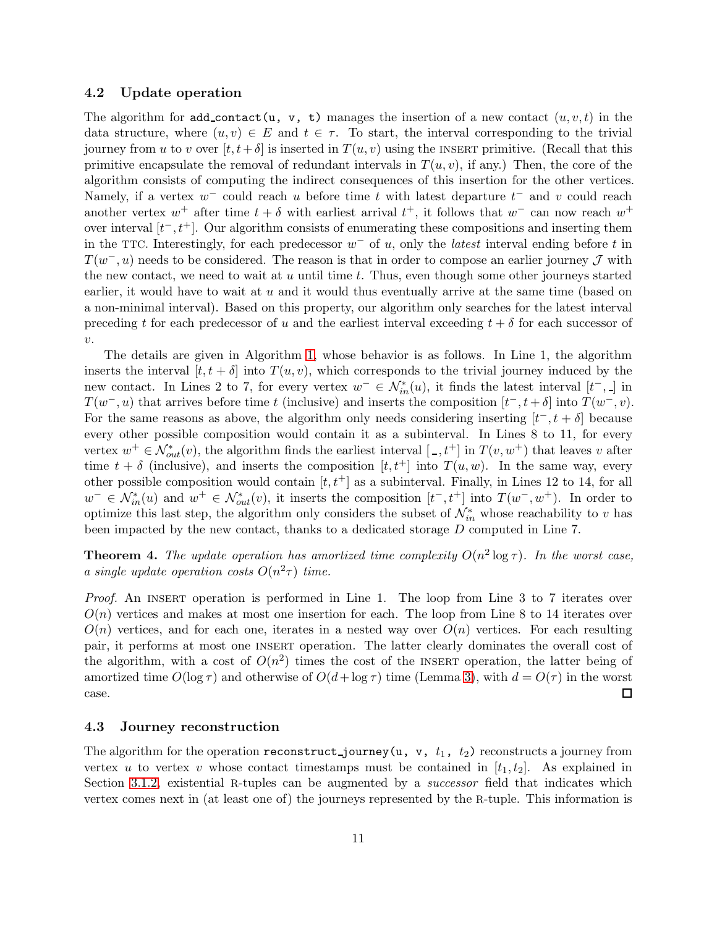#### 4.2 Update operation

The algorithm for add\_contact(u, v, t) manages the insertion of a new contact  $(u, v, t)$  in the data structure, where  $(u, v) \in E$  and  $t \in \tau$ . To start, the interval corresponding to the trivial journey from u to v over  $[t, t+\delta]$  is inserted in  $T(u, v)$  using the INSERT primitive. (Recall that this primitive encapsulate the removal of redundant intervals in  $T(u, v)$ , if any.) Then, the core of the algorithm consists of computing the indirect consequences of this insertion for the other vertices. Namely, if a vertex  $w^-$  could reach u before time t with latest departure  $t^-$  and v could reach another vertex  $w^+$  after time  $t + \delta$  with earliest arrival  $t^+$ , it follows that  $w^-$  can now reach  $w^+$ over interval  $[t^-, t^+]$ . Our algorithm consists of enumerating these compositions and inserting them in the TTC. Interestingly, for each predecessor  $w^-$  of u, only the *latest* interval ending before t in  $T(w^-, u)$  needs to be considered. The reason is that in order to compose an earlier journey  $\mathcal J$  with the new contact, we need to wait at  $u$  until time  $t$ . Thus, even though some other journeys started earlier, it would have to wait at  $u$  and it would thus eventually arrive at the same time (based on a non-minimal interval). Based on this property, our algorithm only searches for the latest interval preceding t for each predecessor of u and the earliest interval exceeding  $t + \delta$  for each successor of  $v$ .

The details are given in Algorithm [1,](#page-11-0) whose behavior is as follows. In Line 1, the algorithm inserts the interval  $[t, t + \delta]$  into  $T(u, v)$ , which corresponds to the trivial journey induced by the new contact. In Lines 2 to 7, for every vertex  $w^- \in \mathcal{N}_{in}^*(u)$ , it finds the latest interval  $[t^-, \_]$  in  $T(w^-, u)$  that arrives before time t (inclusive) and inserts the composition  $[t^-, t^+ \delta]$  into  $T(w^-, v)$ . For the same reasons as above, the algorithm only needs considering inserting  $[t^-, t + \delta]$  because every other possible composition would contain it as a subinterval. In Lines 8 to 11, for every vertex  $w^+ \in \mathcal{N}^*_{out}(v)$ , the algorithm finds the earliest interval  $[-,t^+]$  in  $T(v, w^+)$  that leaves v after time  $t + \delta$  (inclusive), and inserts the composition  $[t, t^+]$  into  $T(u, w)$ . In the same way, every other possible composition would contain  $[t, t^+]$  as a subinterval. Finally, in Lines 12 to 14, for all  $w^- \in \mathcal{N}_{in}^*(u)$  and  $w^+ \in \mathcal{N}_{out}^*(v)$ , it inserts the composition  $[t^-, t^+]$  into  $T(w^-, w^+)$ . In order to optimize this last step, the algorithm only considers the subset of  $\mathcal{N}_{in}^*$  whose reachability to v has been impacted by the new contact, thanks to a dedicated storage D computed in Line 7.

**Theorem 4.** The update operation has amortized time complexity  $O(n^2 \log \tau)$ . In the worst case, a single update operation costs  $O(n^2\tau)$  time.

Proof. An INSERT operation is performed in Line 1. The loop from Line 3 to 7 iterates over  $O(n)$  vertices and makes at most one insertion for each. The loop from Line 8 to 14 iterates over  $O(n)$  vertices, and for each one, iterates in a nested way over  $O(n)$  vertices. For each resulting pair, it performs at most one insert operation. The latter clearly dominates the overall cost of the algorithm, with a cost of  $O(n^2)$  times the cost of the INSERT operation, the latter being of amortized time  $O(\log \tau)$  and otherwise of  $O(d + \log \tau)$  time (Lemma [3\)](#page-8-1), with  $d = O(\tau)$  in the worst case.  $\Box$ 

### 4.3 Journey reconstruction

The algorithm for the operation reconstruct journey(u, v,  $t_1$ ,  $t_2$ ) reconstructs a journey from vertex u to vertex v whose contact timestamps must be contained in  $[t_1, t_2]$ . As explained in Section [3.1.2,](#page-6-1) existential R-tuples can be augmented by a *successor* field that indicates which vertex comes next in (at least one of) the journeys represented by the R-tuple. This information is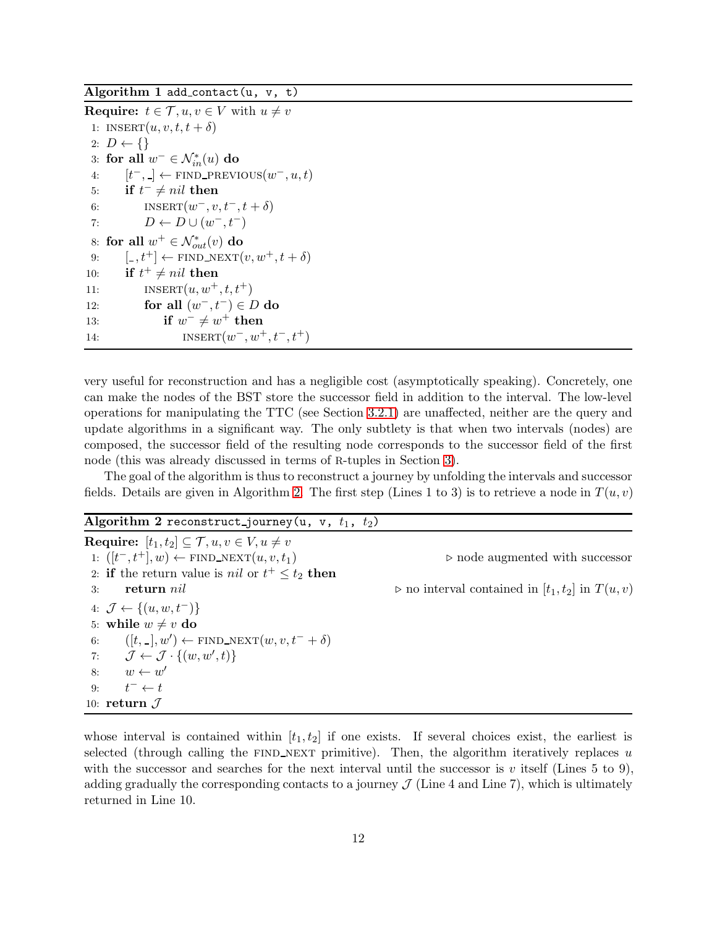<span id="page-11-0"></span>Algorithm 1 add\_contact(u,  $v$ , t)

**Require:**  $t \in \mathcal{T}, u, v \in V$  with  $u \neq v$ 1: INSERT $(u, v, t, t + \delta)$ 2:  $D \leftarrow \{\}$ 3: for all  $w^- \in \mathcal{N}_{in}^*(u)$  do 4:  $[t^-, \_] \leftarrow \text{FIND\_PREVIOUS}(w^-, u, t)$ 5: if  $t^- \neq nil$  then 6: INSERT $(w^-, v, t^-, t + \delta)$ 7:  $D \leftarrow D \cup (w^-, t^-)$ 8: for all  $w^+ \in \mathcal{N}^*_{out}(v)$  do 9:  $[-,t^+] \leftarrow \text{FIND\_NEXT}(v, w^+, t + \delta)$ 10: if  $t^+ \neq nil$  then 11: **INSERT** $(u, w^+, t, t^+)$ 12: for all  $(w^-, t^-) \in D$  do 13: if  $w^{\dagger} \neq w^{\dagger}$  then 14:  $INSERT(w^-, w^+, t^-, t^+)$ 

very useful for reconstruction and has a negligible cost (asymptotically speaking). Concretely, one can make the nodes of the BST store the successor field in addition to the interval. The low-level operations for manipulating the TTC (see Section [3.2.1\)](#page-7-1) are unaffected, neither are the query and update algorithms in a significant way. The only subtlety is that when two intervals (nodes) are composed, the successor field of the resulting node corresponds to the successor field of the first node (this was already discussed in terms of R-tuples in Section [3\)](#page-4-0).

<span id="page-11-1"></span>The goal of the algorithm is thus to reconstruct a journey by unfolding the intervals and successor fields. Details are given in Algorithm [2.](#page-11-1) The first step (Lines 1 to 3) is to retrieve a node in  $T(u, v)$ 

Algorithm 2 reconstruct journey(u, v,  $t_1$ ,  $t_2$ )

Require:  $[t_1, t_2] \subseteq \mathcal{T}, u, v \in V, u \neq v$ 1:  $([t^-, t^+]$ , w) ← FIND\_NEXT $(u, v, t_1)$   $\triangleright$  node augmented with successor 2: **if** the return value is *nil* or  $t^+ \leq t_2$  then 3: return nil  $\triangleright$  no interval contained in  $|t_1, t_2|$  in  $T(u, v)$ 4:  $\mathcal{J} \leftarrow \{(u, w, t^{-})\}$ 5: while  $w \neq v$  do 6:  $([t, -], w') \leftarrow \text{FIND\_NEXT}(w, v, t^- + \delta)$ 7:  $\mathcal{J} \leftarrow \mathcal{J} \cdot \{(w, w', t)\}$ 8:  $w \leftarrow w'$  $9:$  $t^- \leftarrow t$ 10: return  $\mathcal J$ 

whose interval is contained within  $[t_1, t_2]$  if one exists. If several choices exist, the earliest is selected (through calling the FIND NEXT primitive). Then, the algorithm iteratively replaces  $u$ with the successor and searches for the next interval until the successor is v itself (Lines 5 to 9), adding gradually the corresponding contacts to a journey  $\mathcal J$  (Line 4 and Line 7), which is ultimately returned in Line 10.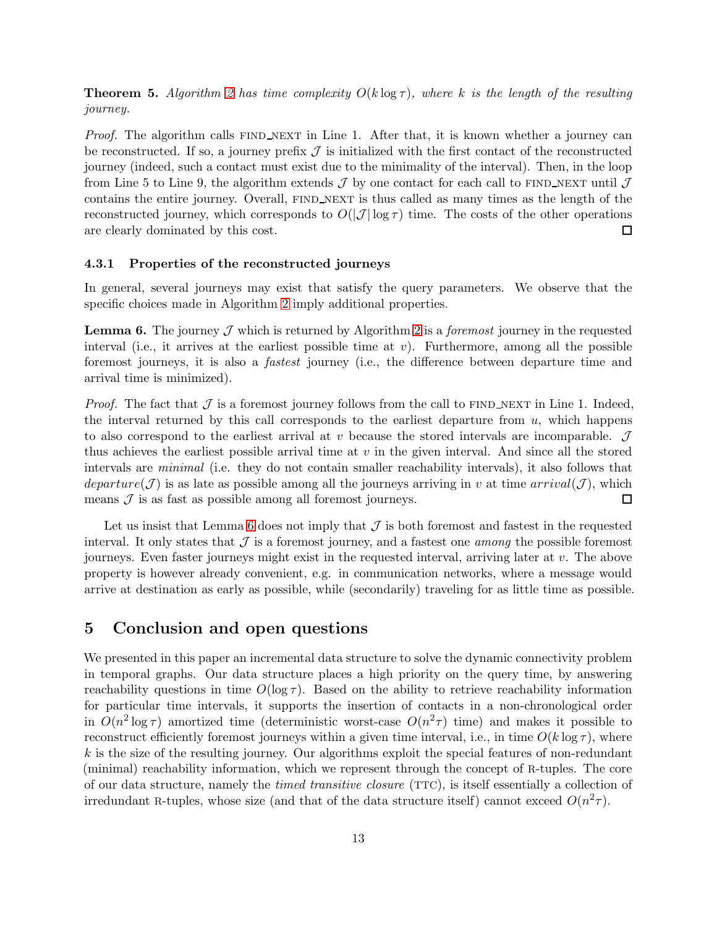**Theorem 5.** Algorithm [2](#page-11-1) has time complexity  $O(k \log \tau)$ , where k is the length of the resulting journey.

*Proof.* The algorithm calls  $FIND\_NEXT$  in Line 1. After that, it is known whether a journey can be reconstructed. If so, a journey prefix  $\mathcal J$  is initialized with the first contact of the reconstructed journey (indeed, such a contact must exist due to the minimality of the interval). Then, in the loop from Line 5 to Line 9, the algorithm extends  $\mathcal J$  by one contact for each call to FIND\_NEXT until  $\mathcal J$ contains the entire journey. Overall, FIND\_NEXT is thus called as many times as the length of the reconstructed journey, which corresponds to  $O(|\mathcal{J}| \log \tau)$  time. The costs of the other operations are clearly dominated by this cost. 囗

#### 4.3.1 Properties of the reconstructed journeys

In general, several journeys may exist that satisfy the query parameters. We observe that the specific choices made in Algorithm [2](#page-11-1) imply additional properties.

<span id="page-12-1"></span>**Lemma 6.** The journey  $\mathcal{J}$  which is returned by Algorithm [2](#page-11-1) is a *foremost* journey in the requested interval (i.e., it arrives at the earliest possible time at  $v$ ). Furthermore, among all the possible foremost journeys, it is also a fastest journey (i.e., the difference between departure time and arrival time is minimized).

*Proof.* The fact that  $\mathcal J$  is a foremost journey follows from the call to FIND\_NEXT in Line 1. Indeed, the interval returned by this call corresponds to the earliest departure from  $u$ , which happens to also correspond to the earliest arrival at  $v$  because the stored intervals are incomparable.  $\mathcal{J}$ thus achieves the earliest possible arrival time at  $v$  in the given interval. And since all the stored intervals are minimal (i.e. they do not contain smaller reachability intervals), it also follows that departure(J) is as late as possible among all the journeys arriving in v at time  $arrival(\mathcal{J})$ , which means  $\mathcal J$  is as fast as possible among all foremost journeys. □

Let us insist that Lemma [6](#page-12-1) does not imply that  $\mathcal J$  is both foremost and fastest in the requested interval. It only states that  $\mathcal J$  is a foremost journey, and a fastest one *among* the possible foremost journeys. Even faster journeys might exist in the requested interval, arriving later at v. The above property is however already convenient, e.g. in communication networks, where a message would arrive at destination as early as possible, while (secondarily) traveling for as little time as possible.

### <span id="page-12-0"></span>5 Conclusion and open questions

We presented in this paper an incremental data structure to solve the dynamic connectivity problem in temporal graphs. Our data structure places a high priority on the query time, by answering reachability questions in time  $O(\log \tau)$ . Based on the ability to retrieve reachability information for particular time intervals, it supports the insertion of contacts in a non-chronological order in  $O(n^2 \log \tau)$  amortized time (deterministic worst-case  $O(n^2 \tau)$  time) and makes it possible to reconstruct efficiently foremost journeys within a given time interval, i.e., in time  $O(k \log \tau)$ , where  $k$  is the size of the resulting journey. Our algorithms exploit the special features of non-redundant (minimal) reachability information, which we represent through the concept of R-tuples. The core of our data structure, namely the timed transitive closure (TTC), is itself essentially a collection of irredundant R-tuples, whose size (and that of the data structure itself) cannot exceed  $O(n^2\tau)$ .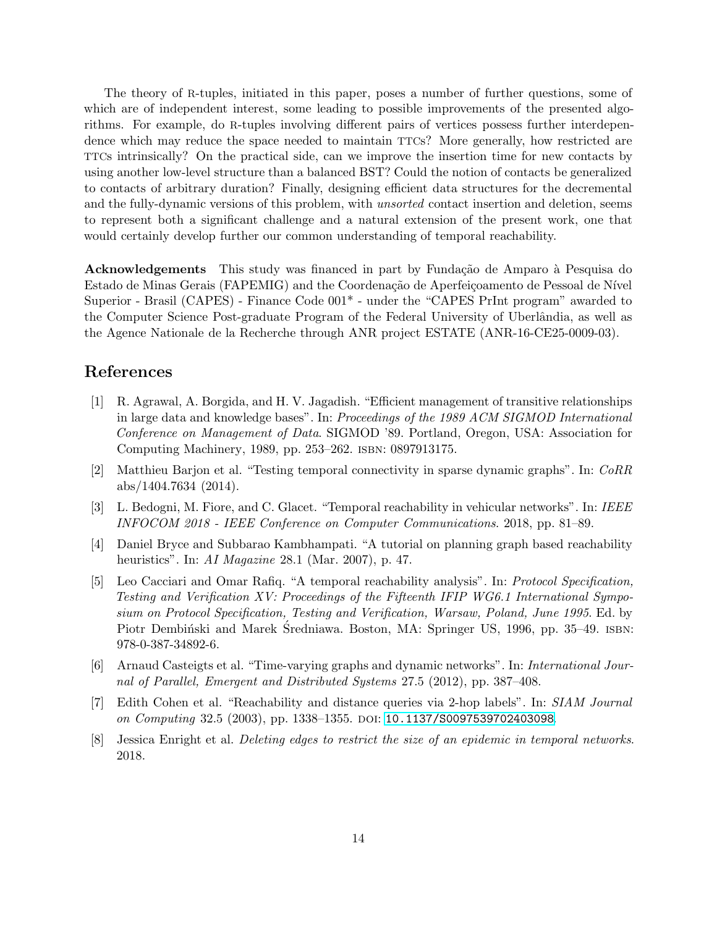The theory of R-tuples, initiated in this paper, poses a number of further questions, some of which are of independent interest, some leading to possible improvements of the presented algorithms. For example, do R-tuples involving different pairs of vertices possess further interdependence which may reduce the space needed to maintain TTCs? More generally, how restricted are TTCs intrinsically? On the practical side, can we improve the insertion time for new contacts by using another low-level structure than a balanced BST? Could the notion of contacts be generalized to contacts of arbitrary duration? Finally, designing efficient data structures for the decremental and the fully-dynamic versions of this problem, with *unsorted* contact insertion and deletion, seems to represent both a significant challenge and a natural extension of the present work, one that would certainly develop further our common understanding of temporal reachability.

Acknowledgements This study was financed in part by Fundação de Amparo à Pesquisa do Estado de Minas Gerais (FAPEMIG) and the Coordenação de Aperfeiçoamento de Pessoal de Nível Superior - Brasil (CAPES) - Finance Code 001\* - under the "CAPES PrInt program" awarded to the Computer Science Post-graduate Program of the Federal University of Uberlândia, as well as the Agence Nationale de la Recherche through ANR project ESTATE (ANR-16-CE25-0009-03).

# <span id="page-13-3"></span>References

- [1] R. Agrawal, A. Borgida, and H. V. Jagadish. "Efficient management of transitive relationships in large data and knowledge bases". In: Proceedings of the 1989 ACM SIGMOD International Conference on Management of Data. SIGMOD '89. Portland, Oregon, USA: Association for Computing Machinery, 1989, pp. 253–262. isbn: 0897913175.
- <span id="page-13-5"></span>[2] Matthieu Barjon et al. "Testing temporal connectivity in sparse dynamic graphs". In: CoRR abs/1404.7634 (2014).
- <span id="page-13-1"></span>[3] L. Bedogni, M. Fiore, and C. Glacet. "Temporal reachability in vehicular networks". In: IEEE INFOCOM 2018 - IEEE Conference on Computer Communications. 2018, pp. 81–89.
- <span id="page-13-2"></span>[4] Daniel Bryce and Subbarao Kambhampati. "A tutorial on planning graph based reachability heuristics". In: AI Magazine 28.1 (Mar. 2007), p. 47.
- <span id="page-13-0"></span>[5] Leo Cacciari and Omar Rafiq. "A temporal reachability analysis". In: Protocol Specification, Testing and Verification XV: Proceedings of the Fifteenth IFIP WG6.1 International Symposium on Protocol Specification, Testing and Verification, Warsaw, Poland, June 1995. Ed. by Piotr Dembiński and Marek Średniawa. Boston, MA: Springer US, 1996, pp. 35–49. ISBN: 978-0-387-34892-6.
- <span id="page-13-7"></span>[6] Arnaud Casteigts et al. "Time-varying graphs and dynamic networks". In: International Journal of Parallel, Emergent and Distributed Systems 27.5 (2012), pp. 387–408.
- <span id="page-13-4"></span>[7] Edith Cohen et al. "Reachability and distance queries via 2-hop labels". In: SIAM Journal on Computing 32.5 (2003), pp. 1338–1355. doi: [10.1137/S0097539702403098](https://doi.org/10.1137/S0097539702403098).
- <span id="page-13-6"></span>[8] Jessica Enright et al. Deleting edges to restrict the size of an epidemic in temporal networks. 2018.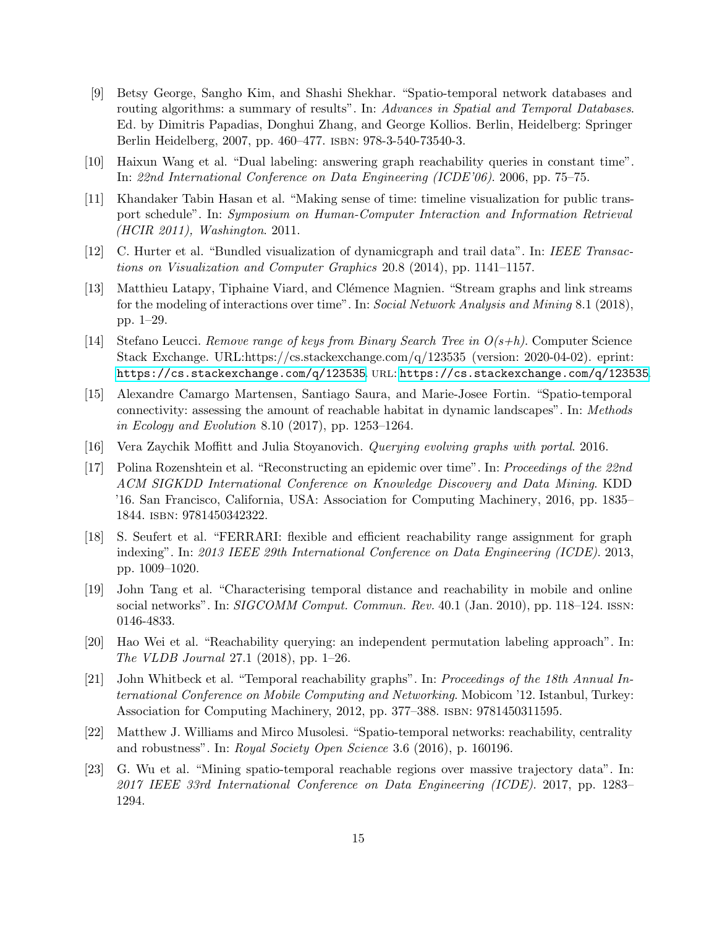- <span id="page-14-5"></span>[9] Betsy George, Sangho Kim, and Shashi Shekhar. "Spatio-temporal network databases and routing algorithms: a summary of results". In: Advances in Spatial and Temporal Databases. Ed. by Dimitris Papadias, Donghui Zhang, and George Kollios. Berlin, Heidelberg: Springer Berlin Heidelberg, 2007, pp. 460–477. isbn: 978-3-540-73540-3.
- <span id="page-14-10"></span>[10] Haixun Wang et al. "Dual labeling: answering graph reachability queries in constant time". In: 22nd International Conference on Data Engineering (ICDE'06). 2006, pp. 75–75.
- <span id="page-14-6"></span>[11] Khandaker Tabin Hasan et al. "Making sense of time: timeline visualization for public transport schedule". In: Symposium on Human-Computer Interaction and Information Retrieval (HCIR 2011), Washington. 2011.
- <span id="page-14-7"></span>[12] C. Hurter et al. "Bundled visualization of dynamicgraph and trail data". In: IEEE Transactions on Visualization and Computer Graphics 20.8 (2014), pp. 1141–1157.
- <span id="page-14-9"></span>[13] Matthieu Latapy, Tiphaine Viard, and Clémence Magnien. "Stream graphs and link streams for the modeling of interactions over time". In: Social Network Analysis and Mining 8.1 (2018), pp. 1–29.
- <span id="page-14-14"></span>[14] Stefano Leucci. Remove range of keys from Binary Search Tree in  $O(s+h)$ . Computer Science Stack Exchange. URL:https://cs.stackexchange.com/q/123535 (version: 2020-04-02). eprint: <https://cs.stackexchange.com/q/123535>. url: <https://cs.stackexchange.com/q/123535>.
- <span id="page-14-4"></span>[15] Alexandre Camargo Martensen, Santiago Saura, and Marie-Josee Fortin. "Spatio-temporal connectivity: assessing the amount of reachable habitat in dynamic landscapes". In: Methods in Ecology and Evolution 8.10 (2017), pp. 1253–1264.
- <span id="page-14-13"></span><span id="page-14-8"></span>[16] Vera Zaychik Moffitt and Julia Stoyanovich. Querying evolving graphs with portal. 2016.
- [17] Polina Rozenshtein et al. "Reconstructing an epidemic over time". In: Proceedings of the 22nd ACM SIGKDD International Conference on Knowledge Discovery and Data Mining. KDD '16. San Francisco, California, USA: Association for Computing Machinery, 2016, pp. 1835– 1844. isbn: 9781450342322.
- <span id="page-14-11"></span>[18] S. Seufert et al. "FERRARI: flexible and efficient reachability range assignment for graph indexing". In: 2013 IEEE 29th International Conference on Data Engineering (ICDE). 2013, pp. 1009–1020.
- <span id="page-14-0"></span>[19] John Tang et al. "Characterising temporal distance and reachability in mobile and online social networks". In: SIGCOMM Comput. Commun. Rev. 40.1 (Jan. 2010), pp. 118–124. issn: 0146-4833.
- <span id="page-14-12"></span>[20] Hao Wei et al. "Reachability querying: an independent permutation labeling approach". In: The VLDB Journal 27.1 (2018), pp. 1–26.
- <span id="page-14-1"></span>[21] John Whitbeck et al. "Temporal reachability graphs". In: Proceedings of the 18th Annual International Conference on Mobile Computing and Networking. Mobicom '12. Istanbul, Turkey: Association for Computing Machinery, 2012, pp. 377–388. isbn: 9781450311595.
- <span id="page-14-3"></span>[22] Matthew J. Williams and Mirco Musolesi. "Spatio-temporal networks: reachability, centrality and robustness". In: Royal Society Open Science 3.6 (2016), p. 160196.
- <span id="page-14-2"></span>[23] G. Wu et al. "Mining spatio-temporal reachable regions over massive trajectory data". In: 2017 IEEE 33rd International Conference on Data Engineering (ICDE). 2017, pp. 1283– 1294.